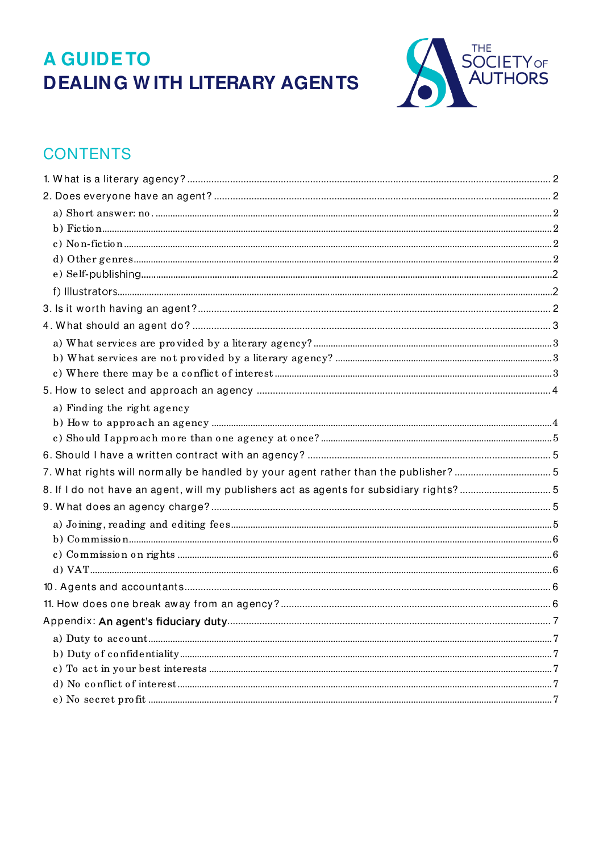# **A GUIDETO DEALING WITH LITERARY AGENTS**



# **CONTENTS**

<span id="page-0-0"></span>

| a) Finding the right agency                                                            |  |
|----------------------------------------------------------------------------------------|--|
|                                                                                        |  |
|                                                                                        |  |
|                                                                                        |  |
| 7. What rights will normally be handled by your agent rather than the publisher? 5     |  |
| 8. If I do not have an agent, will my publishers act as agents for subsidiary rights?5 |  |
|                                                                                        |  |
|                                                                                        |  |
|                                                                                        |  |
|                                                                                        |  |
|                                                                                        |  |
|                                                                                        |  |
|                                                                                        |  |
|                                                                                        |  |
|                                                                                        |  |
|                                                                                        |  |
|                                                                                        |  |
|                                                                                        |  |
|                                                                                        |  |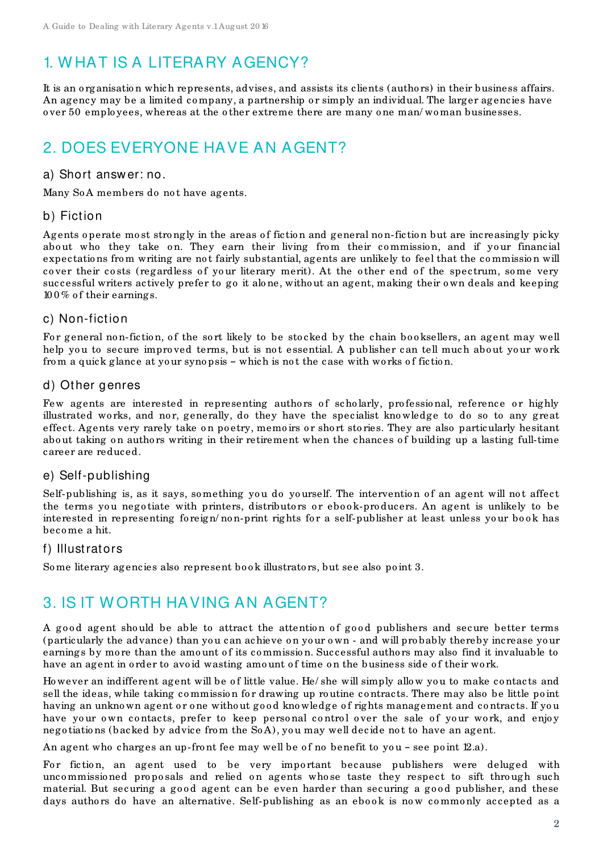# 1. W HAT IS A LITERARY AGENCY?

It is an o rganisatio n which represents, advises, and assists its clients (autho rs) in their business affairs. An agency may be a limited company, a partnership or simply an individual. The larger agencies have o ver 50 emplo yees, whereas at the o ther extreme there are many o ne man/ wo man businesses.

# <span id="page-1-0"></span>2. DOES EVERYONE HAVE AN AGENT?

#### <span id="page-1-1"></span>a) Short answ er: no.

Many SoA members do not have agents.

#### <span id="page-1-2"></span>b) Fiction

Agents operate most strongly in the areas of fiction and general non-fiction but are increasingly picky about who they take on. They earn their living from their commission, and if your financial expectatio ns fro m writing are no t fairly substantial, agents are unlikely to feel that the co mmissio n will cover their costs (regardless of your literary merit). At the other end of the spectrum, some very successful writers actively prefer to go it alo ne, witho ut an agent, making their o wn deals and keeping  $100\%$  of their earnings.

#### <span id="page-1-3"></span>c) Non-fiction

For general non-fiction, of the sort likely to be stocked by the chain booksellers, an agent may well help you to secure improved terms, but is not essential. A publisher can tell much about your work from a quick glance at your synopsis - which is not the case with works of fiction.

#### <span id="page-1-4"></span>d) Other genres

Few agents are interested in representing authors of scholarly, professional, reference or highly illustrated works, and nor, generally, do they have the specialist knowledge to do so to any great effect. Agents very rarely take on poetry, memoirs or short stories. They are also particularly hesitant about taking on authors writing in their retirement when the chances of building up a lasting full-time career are reduced.

#### e) Self-publishing

Self-publishing is, as it says, something you do yourself. The intervention of an agent will not affect the terms you negotiate with printers, distributors or ebook-producers. An agent is unlikely to be interested in representing foreign/non-print rights for a self-publisher at least unless your book has beco me a hit.

#### f) Illustrators

Some literary agencies also represent book illustrators, but see also point 3.

# <span id="page-1-5"></span>3. IS IT W ORTH HAVING AN AGENT?

A good agent should be able to attract the attention of good publishers and secure better terms (particularly the advance) than you can achieve on your own - and will probably thereby increase your earnings by more than the amount of its commission. Successful authors may also find it invaluable to have an agent in order to avoid wasting amount of time on the business side of their work.

Ho wever an indifferent agent will be of little value. He/ she will simply allow you to make contacts and sell the ideas, while taking commission for drawing up routine contracts. There may also be little point having an unknown agent or one without good knowledge of rights management and contracts. If you have your own contacts, prefer to keep personal control over the sale of your work, and enjoy nego tiations (backed by advice from the SoA), you may well decide not to have an agent.

An agent who charges an up-front fee may well be of no benefit to you - see point  $[2.a)$ .

For fiction, an agent used to be very important because publishers were deluged with uncommissioned proposals and relied on agents whose taste they respect to sift through such material. But securing a good agent can be even harder than securing a good publisher, and these days authors do have an alternative. Self-publishing as an ebook is now commonly accepted as a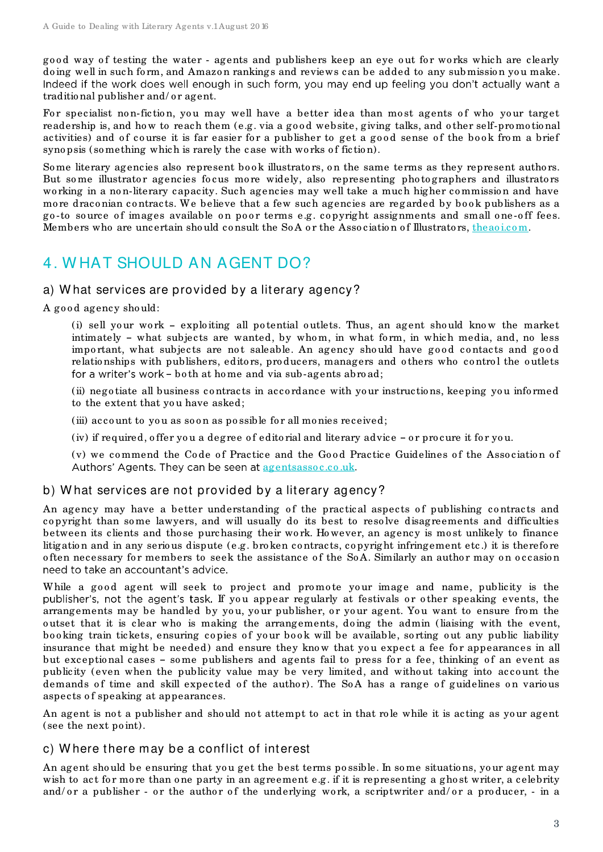good way of testing the water - agents and publishers keep an eye out for works which are clearly doing well in such form, and Amazon rankings and reviews can be added to any submission you make. Indeed if the work does well enough in such form, you may end up feeling you don't actually want a traditional publisher and/or agent.

For specialist non-fiction, you may well have a better idea than most agents of who your target readership is, and how to reach them (e.g. via a good website, giving talks, and other self-promotional activities) and of course it is far easier for a publisher to get a good sense of the book from a brief syno psis (so mething which is rarely the case with wo rks of fiction).

Some literary agencies also represent book illustrators, on the same terms as they represent authors. But some illustrator agencies focus more widely, also representing photographers and illustrators working in a non-literary capacity. Such agencies may well take a much higher commission and have more draconian contracts. We believe that a few such agencies are regarded by book publishers as a go-to source of images available on poor terms e.g. copyright assignments and small one-off fees. Members who are uncertain should consult the SoA or the Association of Illustrators, theaoi.com.

# <span id="page-2-0"></span>4. W HAT SHOULD AN AGENT DO?

#### <span id="page-2-1"></span>a) W hat services are provided by a literary agency?

A good agency should:

(i) sell your work  $-$  exploiting all potential outlets. Thus, an agent should know the market intimately - what subjects are wanted, by whom, in what form, in which media, and, no less important, what subjects are not saleable. An agency should have good contacts and good relationships with publishers, editors, producers, managers and others who control the outlets for a writer's work - both at home and via sub-agents abroad;

(ii) nego tiate all business co ntracts in acco rdance with yo ur instructio ns, keeping yo u info rmed to the extent that you have asked;

(iii) account to you as soon as possible for all monies received;

(iv) if required, offer you a degree of editorial and literary advice  $\text{-}$  or procure it for you.

(v) we commend the Code of Practice and the Good Practice Guidelines of the Association of Authors' Agents. They can be seen at **agentsassoc.co.uk.** 

#### <span id="page-2-2"></span>b) W hat services are not provided by a literary agency?

An agency may have a better understanding of the practical aspects of publishing contracts and co pyright than so me lawyers, and will usually do its best to reso lve disagreements and difficulties between its clients and tho se purchasing their wo rk. Ho wever, an agency is mo st unlikely to finance litigatio n and in any serio us dispute (e.g. bro ken co ntracts, co pyright infringement etc .) it is therefo re often necessary for members to seek the assistance of the SoA. Similarly an author may on occasion need to take an accountant's advice.

While a good agent will seek to project and promote your image and name, publicity is the publisher's, not the agent's task. If you appear regularly at festivals or other speaking events, the arrangements may be handled by you, your publisher, or your agent. You want to ensure from the o utset that it is clear who is making the arrangements, do ing the admin (liaising with the event, booking train tickets, ensuring copies of your book will be available, sorting out any public liability insurance that might be needed) and ensure they know that you expect a fee for appearances in all but exceptional cases - some publishers and agents fail to press for a fee, thinking of an event as publicity (even when the publicity value may be very limited, and without taking into account the demands of time and skill expected of the author). The SoA has a range of guidelines on various aspects of speaking at appearances.

An agent is not a publisher and should not attempt to act in that role while it is acting as your agent (see the next po int).

#### <span id="page-2-3"></span>c) W here there may be a conflict of interest

An agent should be ensuring that you get the best terms possible. In some situations, your agent may wish to act for more than one party in an agreement e.g. if it is representing a ghost writer, a celebrity and/ or a publisher - or the author of the underlying work, a scriptwriter and/ or a producer, - in a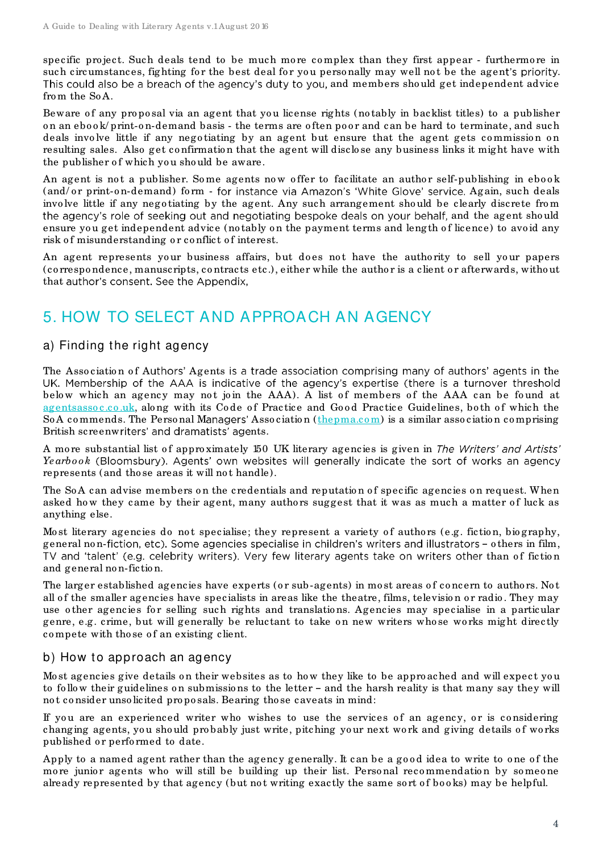specific project. Such deals tend to be much more complex than they first appear - furthermore in such circumstances, fighting for the best deal for you personally may well not be the agent's priority. This could also be a breach of the agency's duty to you, and members should get independent advice fro m the So A.

Beware of any proposal via an agent that you license rights (notably in backlist titles) to a publisher on an ebook/print-on-demand basis - the terms are often poor and can be hard to terminate, and such deals involve little if any negotiating by an agent but ensure that the agent gets commission on resulting sales. Also get co nfirmatio n that the agent will disclo se any business links it might have with the publisher of which you should be aware.

An agent is not a publisher. Some agents now offer to facilitate an author self-publishing in ebook (and/or print-on-demand) form - for instance via Amazon's 'White Glove' service. Again, such deals involve little if any negotiating by the agent. Any such arrangement should be clearly discrete from the agency's role of seeking out and negotiating bespoke deals on your behalf, and the agent should ensure you get independent advice (notably on the payment terms and length of licence) to avoid any risk of misunderstanding or conflict of interest.

An agent represents your business affairs, but does not have the authority to sell your papers (co rrespo ndence, manuscripts, co ntracts etc .), either while the autho r is a client o r afterwards, witho ut that author's consent. See the Appendix,

# <span id="page-3-0"></span>5. HOW TO SELECT AND APPROACH AN AGENCY

#### a) Finding the right agency

The Association of Authors' Agents is a trade association comprising many of authors' agents in the UK. Membership of the AAA is indicative of the agency's expertise (there is a turnover threshold below which an agency may not join the AAA). A list of members of the AAA can be found at agentsassoc.co.uk, along with its Code of Practice and Good Practice Guidelines, both of which the So A commends. The Personal Managers' Association (thepma.com) is a similar association comprising British screenwriters' and dramatists' agents.

A more substantial list of approximately 150 UK literary agencies is given in The Writers' and Artists' Yearbook (Bloomsbury). Agents' own websites will generally indicate the sort of works an agency represents (and those areas it will not handle).

The SoA can advise members on the credentials and reputation of specific agencies on request. When asked how they came by their agent, many authors suggest that it was as much a matter of luck as anything else.

Most literary agencies do not specialise; they represent a variety of authors (e.g. fiction, biography, general non-fiction, etc). Some agencies specialise in children's writers and illustrators - others in film, TV and 'talent' (e.g. celebrity writers). Very few literary agents take on writers other than of fiction and general no n-fictio n.

The larger established agencies have experts (or sub-agents) in most areas of concern to authors. Not all of the smaller agencies have specialists in areas like the theatre, films, television or radio. They may use other agencies for selling such rights and translations. Agencies may specialise in a particular genre, e.g. crime, but will generally be reluctant to take on new writers whose works might directly compete with those of an existing client.

#### <span id="page-3-1"></span>b) How to approach an agency

Most agencies give details on their websites as to how they like to be approached and will expect you to follow their guidelines on submissions to the letter - and the harsh reality is that many say they will no t co nsider unso licited pro po sals. Bearing tho se caveats in mind:

If you are an experienced writer who wishes to use the services of an agency, or is considering changing agents, you should probably just write, pitching your next work and giving details of works published or performed to date.

Apply to a named agent rather than the agency generally. It can be a good idea to write to one of the more junior agents who will still be building up their list. Personal recommendation by someone already represented by that agency (but not writing exactly the same sort of books) may be helpful.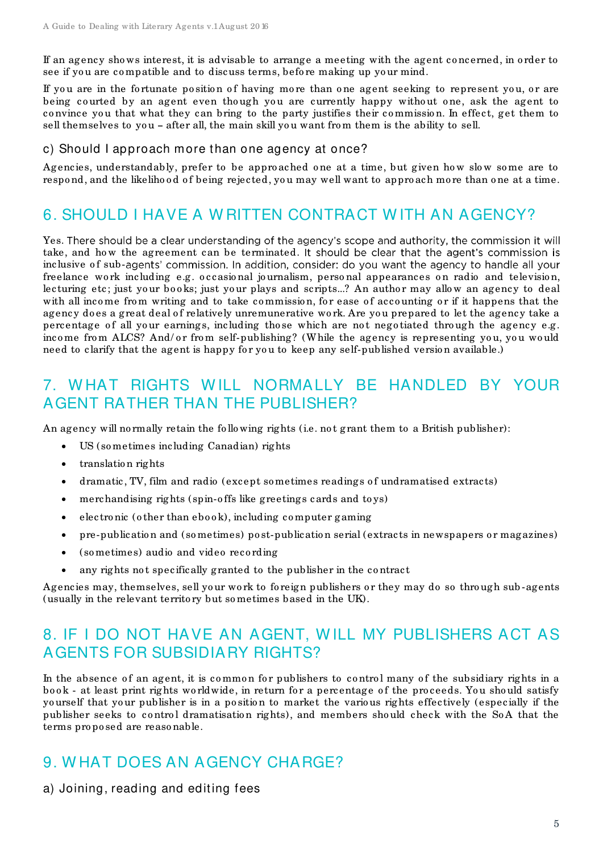If an agency sho ws interest, it is advisable to arrange a meeting with the agent co ncerned, in o rder to see if you are compatible and to discuss terms, before making up your mind.

If you are in the fortunate position of having more than one agent seeking to represent you, or are being courted by an agent even though you are currently happy without one, ask the agent to co nvince yo u that what they can bring to the party justifies their co mmissio n. In effect, get them to sell themselves to you - after all, the main skill you want from them is the ability to sell.

#### <span id="page-4-0"></span>c) Should I approach more than one agency at once?

Agencies, understandably, prefer to be approached one at a time, but given how slow some are to respond, and the likelihood of being rejected, you may well want to approach more than one at a time.

# <span id="page-4-1"></span>6. SHOULD I HAVE A W RITTEN CONTRACT W ITH AN AGENCY?

Yes. There should be a clear understanding of the agency's scope and authority, the commission it will take, and how the agreement can be terminated. It should be clear that the agent's commission is inclusive of sub-agents' commission. In addition, consider: do you want the agency to handle all your freelance work including e.g. occasional journalism, personal appearances on radio and television, lecturing etc; just your books; just your plays and scripts...? An author may allow an agency to deal with all income from writing and to take commission, for ease of accounting or if it happens that the agency does a great deal of relatively unremunerative work. Are you prepared to let the agency take a percentage of all your earnings, including those which are not negotiated through the agency e.g. income from ALCS? And/ or from self-publishing? (While the agency is representing you, you would need to clarify that the agent is happy for you to keep any self-published version available.)

# <span id="page-4-2"></span>7. W HAT RIGHTS W ILL NORMALLY BE HANDLED BY YOUR AGENT RATHER THAN THE PUBLISHER?

An agency will no rmally retain the following rights (i.e. not grant them to a British publisher):

- US (so metimes including Canadian) rights
- translation rights
- dramatic, TV, film and radio (except sometimes readings of undramatised extracts)
- merchandising rights (spin-o ffs like greetings cards and to ys)
- electronic (other than  $e$ book), including computer gaming
- pre-publicatio n and (so metimes) po st-publicatio n serial (extracts in newspapers o r magazines)
- (so metimes) audio and video reco rding
- any rights not specifically granted to the publisher in the contract

Agencies may, themselves, sell your work to foreign publishers or they may do so through sub-agents (usually in the relevant territo ry but so metimes based in the UK).

# <span id="page-4-3"></span>8. IF I DO NOT HAVE AN AGENT, W ILL MY PUBLISHERS ACT AS AGENTS FOR SUBSIDIARY RIGHTS?

In the absence of an agent, it is common for publishers to control many of the subsidiary rights in a book - at least print rights worldwide, in return for a percentage of the proceeds. You should satisfy yourself that your publisher is in a position to market the various rights effectively (especially if the publisher seeks to control dramatisation rights), and members should check with the SoA that the terms pro po sed are reaso nable.

# <span id="page-4-4"></span>9. W HAT DOES AN AGENCY CHARGE?

<span id="page-4-5"></span>a) Joining, reading and editing fees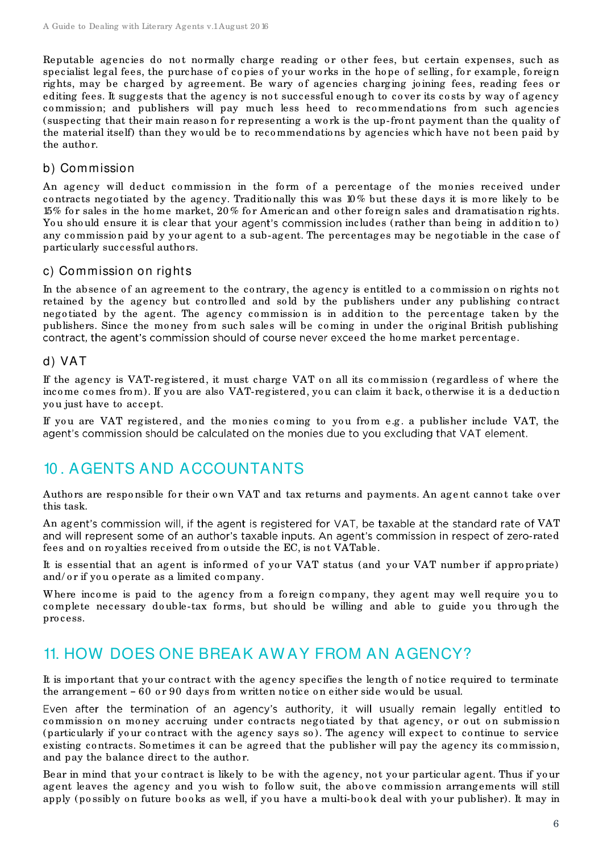Reputable agencies do not normally charge reading or other fees, but certain expenses, such as specialist legal fees, the purchase of copies of your works in the hope of selling, for example, foreign rights, may be charged by agreement. Be wary of agencies charging joining fees, reading fees or editing fees. It suggests that the agency is not successful enough to cover its costs by way of agency commission; and publishers will pay much less heed to recommendations from such agencies (suspecting that their main reason for representing a work is the up-front payment than the quality of the material itself) than they would be to recommendations by agencies which have not been paid by the author.

#### <span id="page-5-0"></span>b) Commission

An agency will deduct commission in the form of a percentage of the monies received under contracts negotiated by the agency. Traditionally this was 10% but these days it is more likely to be 15% fo r sales in the ho me market, 20 % fo r American and o ther fo reign sales and dramatisatio n rights. You should ensure it is clear that your agent's commission includes (rather than being in addition to) any commission paid by your agent to a sub-agent. The percentages may be negotiable in the case of particularly successful autho rs.

#### <span id="page-5-1"></span>c) Commission on rights

In the absence of an agreement to the contrary, the agency is entitled to a commission on rights not retained by the agency but controlled and sold by the publishers under any publishing contract nego tiated by the agent. The agency commission is in addition to the percentage taken by the publishers. Since the money from such sales will be coming in under the original British publishing contract, the agent's commission should of course never exceed the home market percentage.

#### <span id="page-5-2"></span>d) VAT

If the agency is VAT-registered, it must charge VAT on all its commission (regardless of where the income comes from). If you are also VAT-registered, you can claim it back, otherwise it is a deduction yo u just have to accept.

If you are VAT registered, and the monies coming to you from e.g. a publisher include VAT, the agent's commission should be calculated on the monies due to you excluding that VAT element.

# <span id="page-5-3"></span>10 . AGENTS AND ACCOUNTANTS

Authors are responsible for their own VAT and tax returns and payments. An agent cannot take over this task.

An agent's commission will, if the agent is registered for VAT, be taxable at the standard rate of VAT and will represent some of an author's taxable inputs. An agent's commission in respect of zero-rated fees and on royalties received from outside the EC, is not VATable.

It is essential that an agent is informed of your VAT status (and your VAT number if appropriate) and/ or if you operate as a limited company.

Where income is paid to the agency from a foreign company, they agent may well require you to complete necessary double-tax forms, but should be willing and able to guide you through the pro cess.

### <span id="page-5-4"></span>11. HOW DOES ONE BREAK AW AY FROM AN AGENCY?

It is important that your contract with the agency specifies the length of notice required to terminate the arrangement  $-60$  or 90 days from written no tice on either side would be usual.

Even after the termination of an agency's authority, it will usually remain legally entitled to commission on money accruing under contracts negotiated by that agency, or out on submission (particularly if yo ur co ntract with the agency says so ). The agency will expect to co ntinue to service existing contracts. Sometimes it can be agreed that the publisher will pay the agency its commission, and pay the balance direct to the author.

Bear in mind that your contract is likely to be with the agency, not your particular agent. Thus if your agent leaves the agency and you wish to follow suit, the above commission arrangements will still apply (possibly on future books as well, if you have a multi-book deal with your publisher). It may in